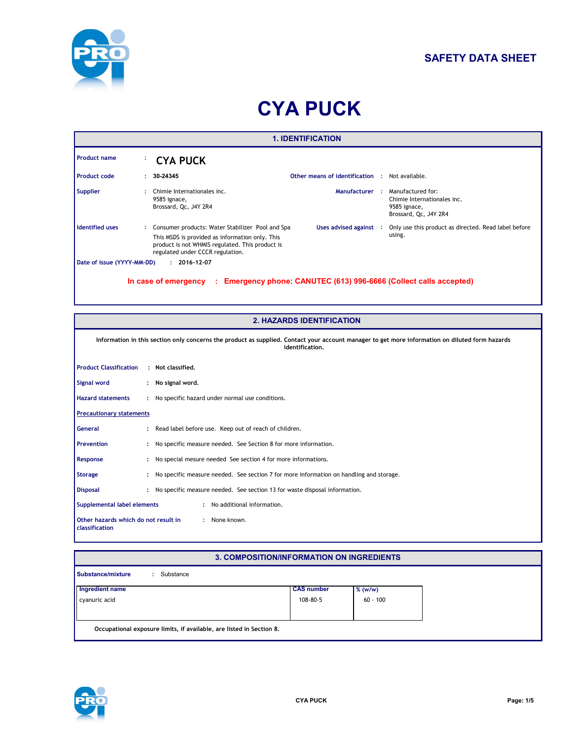

# **SAFETY DATA SHEET**

# **CYA PUCK**

|                            |    |                                                                                                                                                                                              | <b>1. IDENTIFICATION</b>                              |                                                                                                                 |
|----------------------------|----|----------------------------------------------------------------------------------------------------------------------------------------------------------------------------------------------|-------------------------------------------------------|-----------------------------------------------------------------------------------------------------------------|
| <b>Product name</b>        | ٠. | CYA PUCK                                                                                                                                                                                     |                                                       |                                                                                                                 |
| <b>Product code</b>        | ÷. | 30-24345                                                                                                                                                                                     | <b>Other means of identification : Not available.</b> |                                                                                                                 |
| <b>Supplier</b>            |    | Chimie Internationales inc.<br>9585 ignace,<br>Brossard, Qc, J4Y 2R4                                                                                                                         |                                                       | <b>Manufacturer : Manufactured for:</b><br>Chimie Internationales inc.<br>9585 ignace,<br>Brossard, Qc, J4Y 2R4 |
| <b>Identified uses</b>     |    | : Consumer products: Water Stabilizer Pool and Spa<br>This MSDS is provided as information only. This<br>product is not WHMIS regulated. This product is<br>regulated under CCCR regulation. | Uses advised against :                                | Only use this product as directed. Read label before<br>using.                                                  |
| Date of issue (YYYY-MM-DD) |    | $: 2016 - 12 - 07$                                                                                                                                                                           |                                                       |                                                                                                                 |
|                            |    | In case of emergency<br>÷.                                                                                                                                                                   |                                                       | Emergency phone: CANUTEC (613) 996-6666 (Collect calls accepted)                                                |

|                                                        | <b>2. HAZARDS IDENTIFICATION</b>                                                                                                                                   |
|--------------------------------------------------------|--------------------------------------------------------------------------------------------------------------------------------------------------------------------|
|                                                        | Information in this section only concerns the product as supplied. Contact your account manager to get more information on diluted form hazards<br>identification. |
| <b>Product Classification</b>                          | : Not classified.                                                                                                                                                  |
| Signal word                                            | : No signal word.                                                                                                                                                  |
| <b>Hazard statements</b>                               | : No specific hazard under normal use conditions.                                                                                                                  |
| <b>Precautionary statements</b>                        |                                                                                                                                                                    |
| <b>General</b>                                         | : Read label before use. Keep out of reach of children.                                                                                                            |
| <b>Prevention</b>                                      | No specific measure needed. See Section 8 for more information.                                                                                                    |
| Response                                               | No special mesure needed See section 4 for more informations.                                                                                                      |
| <b>Storage</b>                                         | No specific measure needed. See section 7 for more information on handling and storage.                                                                            |
| <b>Disposal</b>                                        | : No specific measure needed. See section 13 for waste disposal information.                                                                                       |
| Supplemental label elements                            | : No additional information.                                                                                                                                       |
| Other hazards which do not result in<br>classification | : None known.                                                                                                                                                      |

## **3. COMPOSITION/INFORMATION ON INGREDIENTS**

|                 | <b>CAS number</b> | $%$ (w/w)  |
|-----------------|-------------------|------------|
| Ingredient name | 108-80-5          | $60 - 100$ |
|                 |                   |            |
|                 |                   |            |

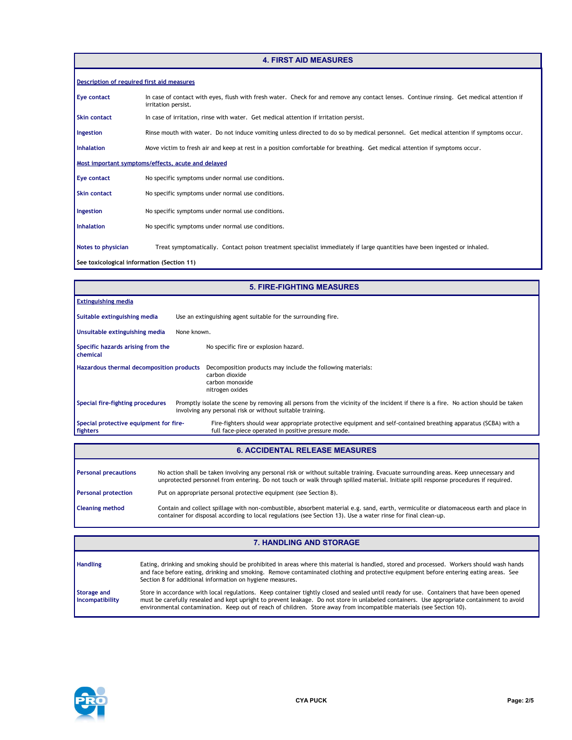#### **4. FIRST AID MEASURES**

| Description of required first aid measures |                                                                                                                                                                  |
|--------------------------------------------|------------------------------------------------------------------------------------------------------------------------------------------------------------------|
| Eye contact                                | In case of contact with eyes, flush with fresh water. Check for and remove any contact lenses. Continue rinsing. Get medical attention if<br>irritation persist. |
| <b>Skin contact</b>                        | In case of irritation, rinse with water. Get medical attention if irritation persist.                                                                            |
| Ingestion                                  | Rinse mouth with water. Do not induce vomiting unless directed to do so by medical personnel. Get medical attention if symptoms occur.                           |
| <b>Inhalation</b>                          | Move victim to fresh air and keep at rest in a position comfortable for breathing. Get medical attention if symptoms occur.                                      |
|                                            | Most important symptoms/effects, acute and delayed                                                                                                               |
| Eye contact                                | No specific symptoms under normal use conditions.                                                                                                                |
| <b>Skin contact</b>                        | No specific symptoms under normal use conditions.                                                                                                                |
| Ingestion                                  | No specific symptoms under normal use conditions.                                                                                                                |
| <b>Inhalation</b>                          | No specific symptoms under normal use conditions.                                                                                                                |
| Notes to physician                         | Treat symptomatically. Contact poison treatment specialist immediately if large quantities have been ingested or inhaled.                                        |
| See toxicological information (Section 11) |                                                                                                                                                                  |

|                                                    | <b>5. FIRE-FIGHTING MEASURES</b>                                                                                                                                                                |
|----------------------------------------------------|-------------------------------------------------------------------------------------------------------------------------------------------------------------------------------------------------|
| <b>Extinguishing media</b>                         |                                                                                                                                                                                                 |
| Suitable extinguishing media                       | Use an extinguishing agent suitable for the surrounding fire.                                                                                                                                   |
| Unsuitable extinguishing media                     | None known.                                                                                                                                                                                     |
| Specific hazards arising from the<br>chemical      | No specific fire or explosion hazard.                                                                                                                                                           |
| Hazardous thermal decomposition products           | Decomposition products may include the following materials:<br>carbon dioxide<br>carbon monoxide<br>nitrogen oxides                                                                             |
| Special fire-fighting procedures                   | Promptly isolate the scene by removing all persons from the vicinity of the incident if there is a fire. No action should be taken<br>involving any personal risk or without suitable training. |
| Special protective equipment for fire-<br>fighters | Fire-fighters should wear appropriate protective equipment and self-contained breathing apparatus (SCBA) with a<br>full face-piece operated in positive pressure mode.                          |
|                                                    |                                                                                                                                                                                                 |

### **6. ACCIDENTAL RELEASE MEASURES**

| <b>Personal precautions</b> | No action shall be taken involving any personal risk or without suitable training. Evacuate surrounding areas. Keep unnecessary and<br>unprotected personnel from entering. Do not touch or walk through spilled material. Initiate spill response procedures if required. |
|-----------------------------|----------------------------------------------------------------------------------------------------------------------------------------------------------------------------------------------------------------------------------------------------------------------------|
| <b>Personal protection</b>  | Put on appropriate personal protective equipment (see Section 8).                                                                                                                                                                                                          |
| <b>Cleaning method</b>      | Contain and collect spillage with non-combustible, absorbent material e.g. sand, earth, vermiculite or diatomaceous earth and place in<br>container for disposal according to local regulations (see Section 13). Use a water rinse for final clean-up.                    |

|                                | <b>7. HANDLING AND STORAGE</b>                                                                                                                                                                                                                                                                                                                                                                                   |
|--------------------------------|------------------------------------------------------------------------------------------------------------------------------------------------------------------------------------------------------------------------------------------------------------------------------------------------------------------------------------------------------------------------------------------------------------------|
| <b>Handling</b>                | Eating, drinking and smoking should be prohibited in areas where this material is handled, stored and processed. Workers should wash hands<br>and face before eating, drinking and smoking. Remove contaminated clothing and protective equipment before entering eating areas. See<br>Section 8 for additional information on hygiene measures.                                                                 |
| Storage and<br>Incompatibility | Store in accordance with local regulations. Keep container tightly closed and sealed until ready for use. Containers that have been opened<br>must be carefully resealed and kept upright to prevent leakage. Do not store in unlabeled containers. Use appropriate containment to avoid<br>environmental contamination. Keep out of reach of children. Store away from incompatible materials (see Section 10). |

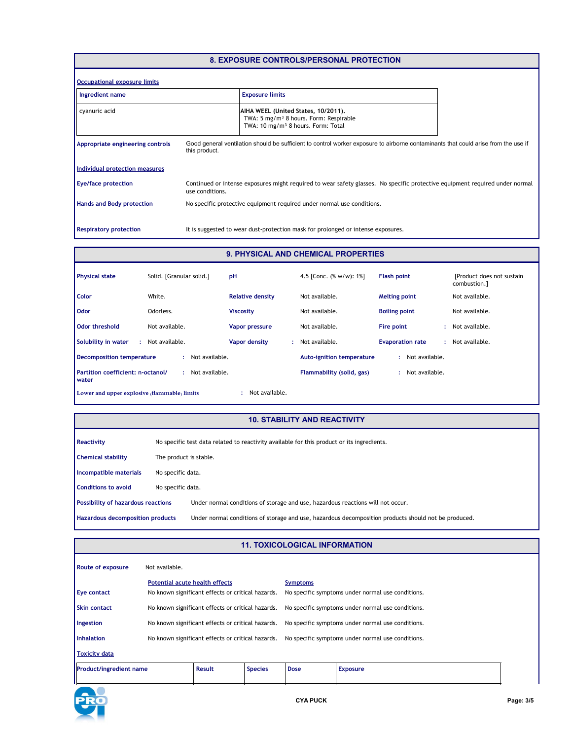#### **8. EXPOSURE CONTROLS/PERSONAL PROTECTION**

| Occupational exposure limits     |                 |                                                                                                                                             |  |
|----------------------------------|-----------------|---------------------------------------------------------------------------------------------------------------------------------------------|--|
| Ingredient name                  |                 | <b>Exposure limits</b>                                                                                                                      |  |
| cyanuric acid                    |                 | AIHA WEEL (United States, 10/2011).<br>TWA: 5 mg/m <sup>3</sup> 8 hours. Form: Respirable<br>TWA: 10 mg/m <sup>3</sup> 8 hours. Form: Total |  |
| Appropriate engineering controls | this product.   | Good general ventilation should be sufficient to control worker exposure to airborne contaminants that could arise from the use if          |  |
| Individual protection measures   |                 |                                                                                                                                             |  |
| <b>Eye/face protection</b>       | use conditions. | Continued or intense exposures might required to wear safety glasses. No specific protective equipment required under normal                |  |
| <b>Hands and Body protection</b> |                 | No specific protective equipment required under normal use conditions.                                                                      |  |
| <b>Respiratory protection</b>    |                 | It is suggested to wear dust-protection mask for prolonged or intense exposures.                                                            |  |

#### **9. PHYSICAL AND CHEMICAL PROPERTIES**

| <b>Physical state</b>                        | Solid. [Granular solid.] | pH                      | 4.5 [Conc. $(\% w/w)$ : 1%]      | <b>Flash point</b>      | [Product does not sustain]<br>combustion.] |
|----------------------------------------------|--------------------------|-------------------------|----------------------------------|-------------------------|--------------------------------------------|
| Color                                        | White.                   | <b>Relative density</b> | Not available.                   | <b>Melting point</b>    | Not available.                             |
| <b>Odor</b>                                  | Odorless.                | <b>Viscosity</b>        | Not available.                   | <b>Boiling point</b>    | Not available.                             |
| <b>Odor threshold</b>                        | Not available.           | Vapor pressure          | Not available.                   | Fire point              | Not available.                             |
| Solubility in water                          | Not available.           | Vapor density           | Not available.                   | <b>Evaporation rate</b> | Not available.                             |
| <b>Decomposition temperature</b>             | Not available.           |                         | <b>Auto-ignition temperature</b> | Not available.<br>÷.    |                                            |
| Partition coefficient: n-octanol/<br>water   | Not available.<br>÷      |                         | Flammability (solid, gas)        | Not available.<br>÷.    |                                            |
| Lower and upper explosive (flammable) limits |                          | Not available.          |                                  |                         |                                            |

#### **10. STABILITY AND REACTIVITY**

|                   | No specific test data related to reactivity available for this product or its ingredients.           |  |  |  |  |
|-------------------|------------------------------------------------------------------------------------------------------|--|--|--|--|
|                   | The product is stable.                                                                               |  |  |  |  |
| No specific data. |                                                                                                      |  |  |  |  |
| No specific data. |                                                                                                      |  |  |  |  |
|                   | Under normal conditions of storage and use, hazardous reactions will not occur.                      |  |  |  |  |
|                   | Under normal conditions of storage and use, hazardous decomposition products should not be produced. |  |  |  |  |
|                   | <b>Possibility of hazardous reactions</b><br>Hazardous decomposition products                        |  |  |  |  |

# **11. TOXICOLOGICAL INFORMATION**

| <b>Route of exposure</b>       | Not available.                                                                             |                                                   |                                                   |                                                                      |                 |  |
|--------------------------------|--------------------------------------------------------------------------------------------|---------------------------------------------------|---------------------------------------------------|----------------------------------------------------------------------|-----------------|--|
| <b>Eye contact</b>             | <b>Potential acute health effects</b><br>No known significant effects or critical hazards. |                                                   |                                                   | <b>Symptoms</b><br>No specific symptoms under normal use conditions. |                 |  |
| <b>Skin contact</b>            |                                                                                            | No known significant effects or critical hazards. |                                                   | No specific symptoms under normal use conditions.                    |                 |  |
| Ingestion                      | No known significant effects or critical hazards.                                          |                                                   | No specific symptoms under normal use conditions. |                                                                      |                 |  |
| Inhalation                     | No known significant effects or critical hazards.                                          |                                                   |                                                   | No specific symptoms under normal use conditions.                    |                 |  |
| <b>Toxicity data</b>           |                                                                                            |                                                   |                                                   |                                                                      |                 |  |
| <b>Product/ingredient name</b> |                                                                                            | <b>Result</b>                                     | <b>Species</b>                                    | <b>Dose</b>                                                          | <b>Exposure</b> |  |

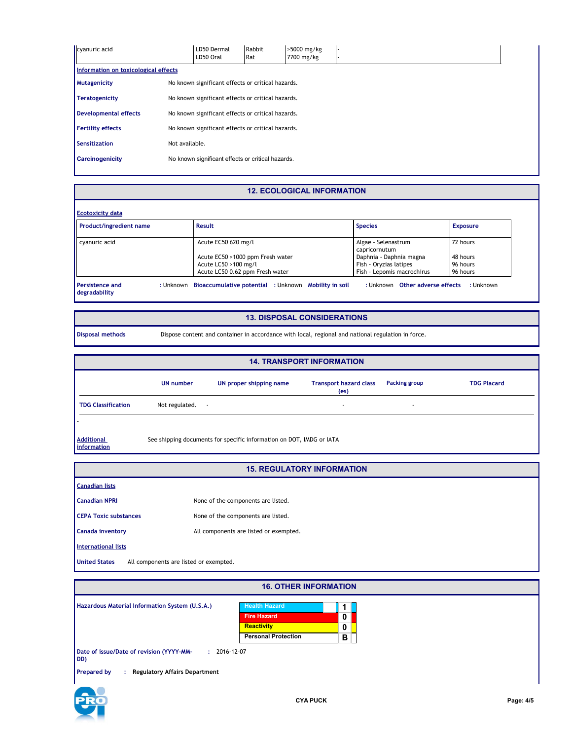| cyanuric acid                        |                                                   | LD50 Dermal<br>LD50 Oral                          | Rabbit<br>Rat | >5000 mg/kg<br>7700 mg/kg |  |  |
|--------------------------------------|---------------------------------------------------|---------------------------------------------------|---------------|---------------------------|--|--|
| Information on toxicological effects |                                                   |                                                   |               |                           |  |  |
| <b>Mutagenicity</b>                  |                                                   | No known significant effects or critical hazards. |               |                           |  |  |
| <b>Teratogenicity</b>                |                                                   | No known significant effects or critical hazards. |               |                           |  |  |
| <b>Developmental effects</b>         |                                                   | No known significant effects or critical hazards. |               |                           |  |  |
| <b>Fertility effects</b>             | No known significant effects or critical hazards. |                                                   |               |                           |  |  |
| <b>Sensitization</b>                 | Not available.                                    |                                                   |               |                           |  |  |
| <b>Carcinogenicity</b>               |                                                   | No known significant effects or critical hazards. |               |                           |  |  |
|                                      |                                                   |                                                   |               |                           |  |  |

## **12. ECOLOGICAL INFORMATION**

| <b>Ecotoxicity data</b>                 |                                                                |                                      |                 |
|-----------------------------------------|----------------------------------------------------------------|--------------------------------------|-----------------|
| Product/ingredient name                 | Result                                                         | <b>Species</b>                       | <b>Exposure</b> |
| cyanuric acid                           | Acute EC50 620 mg/l                                            | Algae - Selenastrum<br>capricornutum | 72 hours        |
|                                         | Acute EC50 >1000 ppm Fresh water                               | Daphnia - Daphnia magna              | 48 hours        |
|                                         | Acute LC50 >100 mg/l                                           | Fish - Oryzias latipes               | 96 hours        |
|                                         | Acute LC50 0.62 ppm Fresh water                                | Fish - Lepomis macrochirus           | 96 hours        |
| <b>Persistence and</b><br>degradability | : Unknown Bioaccumulative potential : Unknown Mobility in soil | : Unknown Other adverse effects      | : Unknown       |

#### **13. DISPOSAL CONSIDERATIONS**

 $\Box$ 

**Disposal methods** Dispose content and container in accordance with local, regional and national regulation in force.

|                                  |                |                                                                      | <b>14. TRANSPORT INFORMATION</b>                   |               |                    |
|----------------------------------|----------------|----------------------------------------------------------------------|----------------------------------------------------|---------------|--------------------|
|                                  | UN number      | UN proper shipping name                                              | <b>Transport hazard class</b><br>(e <sub>s</sub> ) | Packing group | <b>TDG Placard</b> |
| <b>TDG Classification</b>        | Not regulated. | ٠                                                                    | $\overline{\phantom{a}}$                           |               |                    |
|                                  |                |                                                                      |                                                    |               |                    |
| <b>Additional</b><br>information |                | See shipping documents for specific information on DOT, IMDG or IATA |                                                    |               |                    |

#### **15. REGULATORY INFORMATION**

| <b>Canadian lists</b>                                          |                                        |
|----------------------------------------------------------------|----------------------------------------|
| <b>Canadian NPRI</b>                                           | None of the components are listed.     |
| <b>CEPA Toxic substances</b>                                   | None of the components are listed.     |
| <b>Canada inventory</b>                                        | All components are listed or exempted. |
| <b>International lists</b>                                     |                                        |
| <b>United States</b><br>All components are listed or exempted. |                                        |

| <b>16. OTHER INFORMATION</b>                                          |                            |   |
|-----------------------------------------------------------------------|----------------------------|---|
| Hazardous Material Information System (U.S.A.)                        | <b>Health Hazard</b>       |   |
|                                                                       | <b>Fire Hazard</b>         | 0 |
|                                                                       | <b>Reactivity</b>          | 0 |
|                                                                       | <b>Personal Protection</b> | в |
| Date of issue/Date of revision (YYYY-MM-<br>$: 2016 - 12 - 07$<br>DD) |                            |   |
| <b>Prepared by</b><br><b>Regulatory Affairs Department</b><br>÷       |                            |   |
|                                                                       |                            |   |